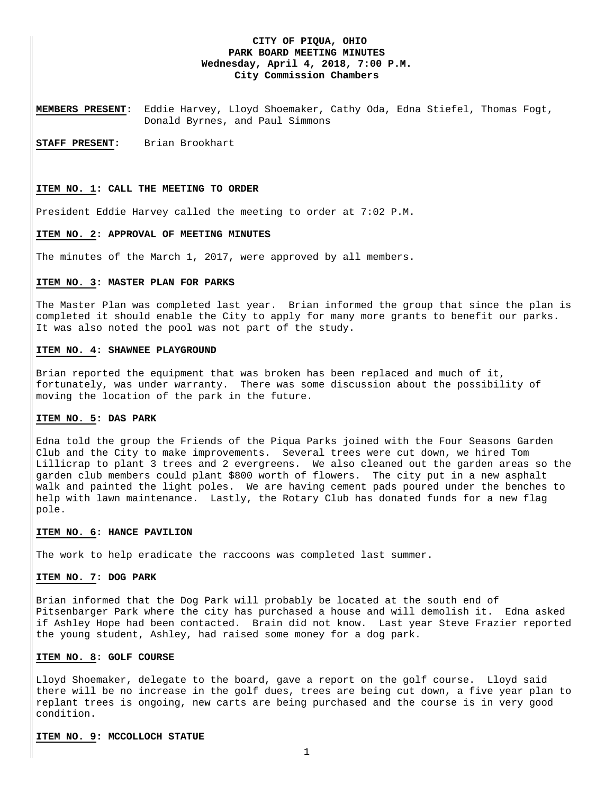# **CITY OF PIQUA, OHIO PARK BOARD MEETING MINUTES Wednesday, April 4, 2018, 7:00 P.M. City Commission Chambers**

**MEMBERS PRESENT:** Eddie Harvey, Lloyd Shoemaker, Cathy Oda, Edna Stiefel, Thomas Fogt, Donald Byrnes, and Paul Simmons

**STAFF PRESENT:** Brian Brookhart

#### **ITEM NO. 1: CALL THE MEETING TO ORDER**

President Eddie Harvey called the meeting to order at 7:02 P.M.

#### **ITEM NO. 2: APPROVAL OF MEETING MINUTES**

The minutes of the March 1, 2017, were approved by all members.

#### **ITEM NO. 3: MASTER PLAN FOR PARKS**

The Master Plan was completed last year. Brian informed the group that since the plan is completed it should enable the City to apply for many more grants to benefit our parks. It was also noted the pool was not part of the study.

# **ITEM NO. 4: SHAWNEE PLAYGROUND**

Brian reported the equipment that was broken has been replaced and much of it, fortunately, was under warranty. There was some discussion about the possibility of moving the location of the park in the future.

# **ITEM NO. 5: DAS PARK**

Edna told the group the Friends of the Piqua Parks joined with the Four Seasons Garden Club and the City to make improvements. Several trees were cut down, we hired Tom Lillicrap to plant 3 trees and 2 evergreens. We also cleaned out the garden areas so the garden club members could plant \$800 worth of flowers. The city put in a new asphalt walk and painted the light poles. We are having cement pads poured under the benches to help with lawn maintenance. Lastly, the Rotary Club has donated funds for a new flag pole.

# **ITEM NO. 6: HANCE PAVILION**

The work to help eradicate the raccoons was completed last summer.

# **ITEM NO. 7: DOG PARK**

Brian informed that the Dog Park will probably be located at the south end of Pitsenbarger Park where the city has purchased a house and will demolish it. Edna asked if Ashley Hope had been contacted. Brain did not know. Last year Steve Frazier reported the young student, Ashley, had raised some money for a dog park.

# **ITEM NO. 8: GOLF COURSE**

Lloyd Shoemaker, delegate to the board, gave a report on the golf course. Lloyd said there will be no increase in the golf dues, trees are being cut down, a five year plan to replant trees is ongoing, new carts are being purchased and the course is in very good condition.

#### **ITEM NO. 9: MCCOLLOCH STATUE**